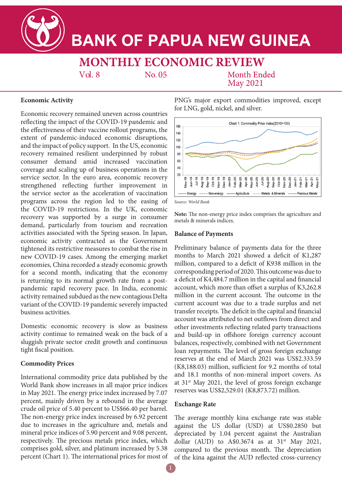**BANK OF PAPUA NEW GUINEA** 

**MONTHLY ECONOMIC REVIEW** 

No. 05

**Month Ended** May 2021

PNG's major export commodities improved, except

for LNG, gold, nickel, and silver.

# **Economic Activity**

Economic recovery remained uneven across countries reflecting the impact of the COVID-19 pandemic and the effectiveness of their vaccine rollout programs, the extent of pandemic-induced economic disruptions, and the impact of policy support. In the US, economic recovery remained resilient underpinned by robust consumer demand amid increased vaccination coverage and scaling up of business operations in the service sector. In the euro area, economic recovery strengthened reflecting further improvement in the service sector as the acceleration of vaccination programs across the region led to the easing of the COVID-19 restrictions. In the UK, economic recovery was supported by a surge in consumer demand, particularly from tourism and recreation activities associated with the Spring season. In Japan, economic activity contracted as the Government tightened its restrictive measures to combat the rise in new COVID-19 cases. Among the emerging market economies, China recorded a steady economic growth for a second month, indicating that the economy is returning to its normal growth rate from a postpandemic rapid recovery pace. In India, economic activity remained subdued as the new contagious Delta variant of the COVID-19 pandemic severely impacted business activities.

Vol. 8

Domestic economic recovery is slow as business activity continue to remained weak on the back of a sluggish private sector credit growth and continuous tight fiscal position.

### **Commodity Prices**

International commodity price data published by the World Bank show increases in all major price indices in May 2021. The energy price index increased by 7.07 percent, mainly driven by a rebound in the average crude oil price of 5.40 percent to US\$66.40 per barrel. The non-energy price index increased by 6.92 percent due to increases in the agriculture and, metals and mineral price indices of 5.90 percent and 9.08 percent, respectively. The precious metals price index, which comprises gold, silver, and platinum increased by 5.38 percent (Chart 1). The international prices for most of



*Source: World Bank*

**Note:** The non-energy price index comprises the agriculture and metals & minerals indices.

### **Balance of Payments**

Preliminary balance of payments data for the three months to March 2021 showed a deficit of K1,287 million, compared to a deficit of K938 million in the corresponding period of 2020. This outcome was due to a deficit of K4,484.7 million in the capital and financial account, which more than offset a surplus of K3,262.8 million in the current account. The outcome in the current account was due to a trade surplus and net transfer receipts. The deficit in the capital and financial account was attributed to net outflows from direct and other investments reflecting related party transactions and build-up in offshore foreign currency account balances, respectively, combined with net Government loan repayments. The level of gross foreign exchange reserves at the end of March 2021 was US\$2.333.59 (K8,188.03) million, sufficient for 9.2 months of total and 18.1 months of non-mineral import covers. As at  $31<sup>st</sup>$  May 2021, the level of gross foreign exchange reserves was US\$2,529.01 (K8,873.72) million.

### **Exchange Rate**

The average monthly kina exchange rate was stable against the US dollar (USD) at US\$0.2850 but depreciated by 1.04 percent against the Australian dollar (AUD) to A\$0.3674 as at  $31<sup>st</sup>$  May 2021, compared to the previous month. The depreciation of the kina against the AUD reflected cross-currency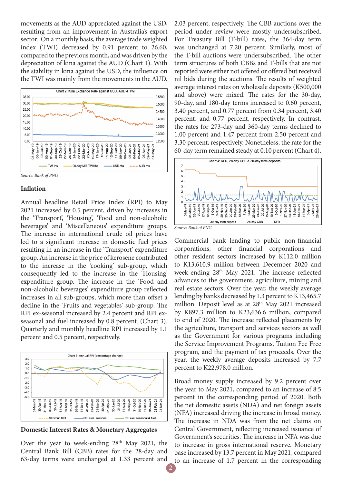movements as the AUD appreciated against the USD, resulting from an improvement in Australia's export sector. On a monthly basis, the average trade weighted index (TWI) decreased by 0.91 percent to 26.60, compared to the previous month, and was driven by the depreciation of kina against the AUD (Chart 1). With the stability in kina against the USD, the influence on the TWI was mainly from the movements in the AUD.



#### **Inflation**

Annual headline Retail Price Index (RPI) to May 2021 increased by 0.5 percent, driven by increases in the 'Transport', 'Housing', 'Food and non-alcoholic beverages' and 'Miscellaneous' expenditure groups. The increase in international crude oil prices have led to a significant increase in domestic fuel prices resulting in an increase in the 'Transport' expenditure group. An increase in the price of kerosene contributed to the increase in the 'cooking' sub-group, which consequently led to the increase in the 'Housing' expenditure group. The increase in the 'Food and non-alcoholic beverages' expenditure group reflected increases in all sub-groups, which more than offset a decline in the 'Fruits and vegetables' sub-group. The RPI ex-seasonal increased by 2.4 percent and RPI exseasonal and fuel increased by 0.8 percent. (Chart 3). Quarterly and monthly headline RPI increased by 1.1 percent and 0.5 percent, respectively.



**Domestic Interest Rates & Monetary Aggregates**

Over the year to week-ending 28<sup>th</sup> May 2021, the Central Bank Bill (CBB) rates for the 28-day and 63-day terms were unchanged at 1.33 percent and 2.03 percent, respectively. The CBB auctions over the period under review were mostly undersubscribed. For Treasury Bill (T-bill) rates, the 364-day term was unchanged at 7.20 percent. Similarly, most of the T-bill auctions were undersubscribed. The other term structures of both CBBs and T-bills that are not reported were either not offered or offered but received nil bids during the auctions. The results of weighted average interest rates on wholesale deposits (K500,000 and above) were mixed. The rates for the 30-day, 90-day, and 180-day terms increased to 0.60 percent, 3.40 percent, and 0.77 percent from 0.34 percent, 3.40 percent, and 0.77 percent, respectively. In contrast, the rates for 273-day and 360-day terms declined to 1.00 percent and 1.47 percent from 2.50 percent and 3.30 percent, respectively. Nonetheless, the rate for the 60-day term remained steady at 0.10 percent (Chart 4).



*Source: Bank of PNG*

Commercial bank lending to public non-financial corporations, other financial corporations and other resident sectors increased by K112.0 million to K13,610.9 million between December 2020 and week-ending 28th May 2021. The increase reflected advances to the government, agriculture, mining and real estate sectors. Over the year, the weekly average lending by banks decreased by 1.3 percent to K13,465.7 million. Deposit level as at  $28<sup>th</sup>$  May 2021 increased by K897.3 million to K23,636.6 million, compared to end of 2020. The increase reflected placements by the agriculture, transport and services sectors as well as the Government for various programs including the Service Improvement Programs, Tuition Fee Free program, and the payment of tax proceeds. Over the year, the weekly average deposits increased by 7.7 percent to K22,978.0 million.

Broad money supply increased by 9.2 percent over the year to May 2021, compared to an increase of 8.5 percent in the corresponding period of 2020. Both the net domestic assets (NDA) and net foreign assets (NFA) increased driving the increase in broad money. The increase in NDA was from the net claims on Central Government, reflecting increased issuance of Government's securities. The increase in NFA was due to increase in gross international reserve. Monetary base increased by 13.7 percent in May 2021, compared to an increase of 1.7 percent in the corresponding